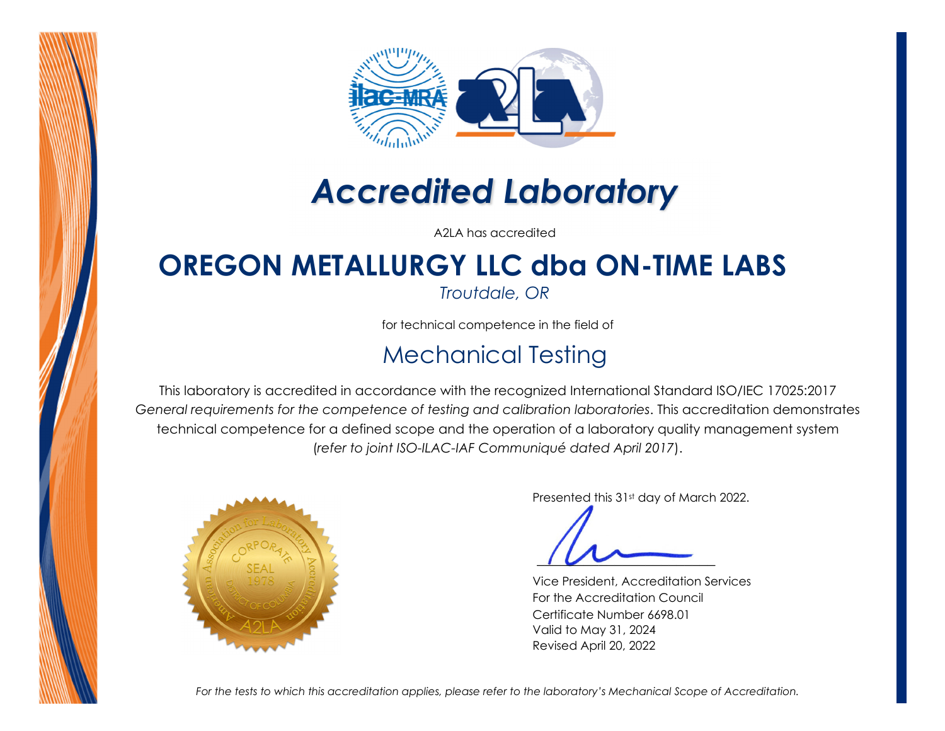

# *Accredited Laboratory*

A2LA has accredited

# **OREGON METALLURGY LLC dba ON-TIME LABS**

*Troutdale, OR* 

for technical competence in the field of

### Mechanical Testing

This laboratory is accredited in accordance with the recognized International Standard ISO/IEC 17025:2017 *General requirements for the competence of testing and calibration laboratories*. This accreditation demonstrates technical competence for a defined scope and the operation of a laboratory quality management system (*refer to joint ISO-ILAC-IAF Communiqué dated April 2017*).



Presented this 31st day of March 2022.

 *\_\_\_\_\_\_\_\_\_\_\_\_\_\_\_\_\_\_\_\_\_\_\_*

Vice President, Accreditation Services For the Accreditation Council Certificate Number 6698.01 Valid to May 31, 2024 Revised April 20, 2022

*For the tests to which this accreditation applies, please refer to the laboratory's Mechanical Scope of Accreditation.*